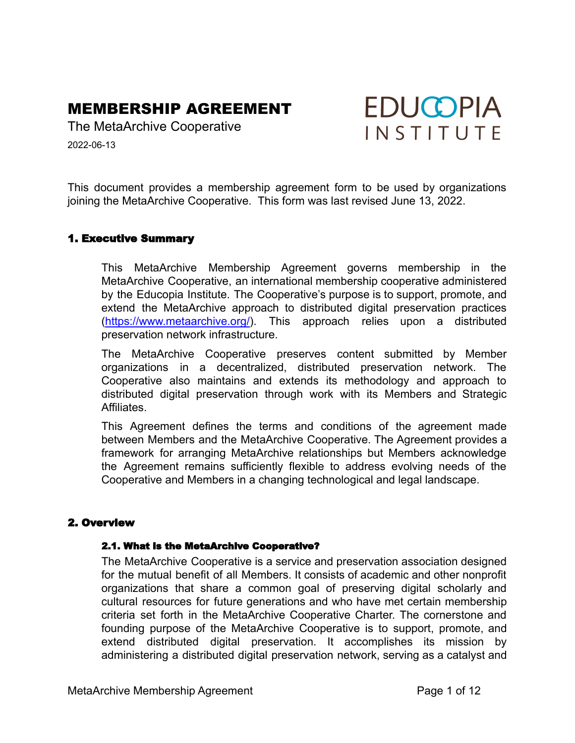# MEMBERSHIP AGREEMENT

The MetaArchive Cooperative

2022-06-13

This document provides a membership agreement form to be used by organizations joining the MetaArchive Cooperative. This form was last revised June 13, 2022.

# 1. Executive Summary

This MetaArchive Membership Agreement governs membership in the MetaArchive Cooperative, an international membership cooperative administered by the Educopia Institute. The Cooperative's purpose is to support, promote, and extend the MetaArchive approach to distributed digital preservation practices ([https://www.metaarchive.org/](http://www.metaarchive.org/)). This approach relies upon a distributed preservation network infrastructure.

The MetaArchive Cooperative preserves content submitted by Member organizations in a decentralized, distributed preservation network. The Cooperative also maintains and extends its methodology and approach to distributed digital preservation through work with its Members and Strategic **Affiliates** 

This Agreement defines the terms and conditions of the agreement made between Members and the MetaArchive Cooperative. The Agreement provides a framework for arranging MetaArchive relationships but Members acknowledge the Agreement remains sufficiently flexible to address evolving needs of the Cooperative and Members in a changing technological and legal landscape.

# 2. Overview

#### 2.1. What is the MetaArchive Cooperative?

The MetaArchive Cooperative is a service and preservation association designed for the mutual benefit of all Members. It consists of academic and other nonprofit organizations that share a common goal of preserving digital scholarly and cultural resources for future generations and who have met certain membership criteria set forth in the MetaArchive Cooperative Charter. The cornerstone and founding purpose of the MetaArchive Cooperative is to support, promote, and extend distributed digital preservation. It accomplishes its mission by administering a distributed digital preservation network, serving as a catalyst and

**EDUCOPIA** 

INSTITUTE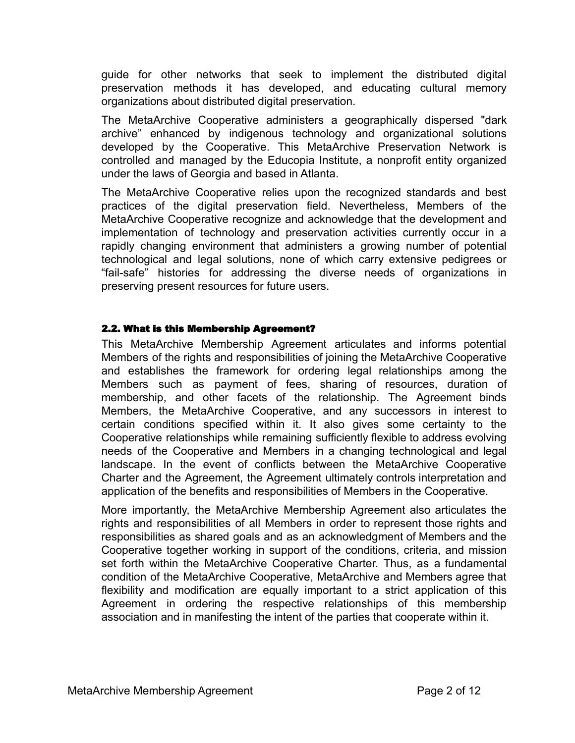guide for other networks that seek to implement the distributed digital preservation methods it has developed, and educating cultural memory organizations about distributed digital preservation.

The MetaArchive Cooperative administers a geographically dispersed "dark archive" enhanced by indigenous technology and organizational solutions developed by the Cooperative. This MetaArchive Preservation Network is controlled and managed by the Educopia Institute, a nonprofit entity organized under the laws of Georgia and based in Atlanta.

The MetaArchive Cooperative relies upon the recognized standards and best practices of the digital preservation field. Nevertheless, Members of the MetaArchive Cooperative recognize and acknowledge that the development and implementation of technology and preservation activities currently occur in a rapidly changing environment that administers a growing number of potential technological and legal solutions, none of which carry extensive pedigrees or "fail-safe" histories for addressing the diverse needs of organizations in preserving present resources for future users.

# 2.2. What is this Membership Agreement?

This MetaArchive Membership Agreement articulates and informs potential Members of the rights and responsibilities of joining the MetaArchive Cooperative and establishes the framework for ordering legal relationships among the Members such as payment of fees, sharing of resources, duration of membership, and other facets of the relationship. The Agreement binds Members, the MetaArchive Cooperative, and any successors in interest to certain conditions specified within it. It also gives some certainty to the Cooperative relationships while remaining sufficiently flexible to address evolving needs of the Cooperative and Members in a changing technological and legal landscape. In the event of conflicts between the MetaArchive Cooperative Charter and the Agreement, the Agreement ultimately controls interpretation and application of the benefits and responsibilities of Members in the Cooperative.

More importantly, the MetaArchive Membership Agreement also articulates the rights and responsibilities of all Members in order to represent those rights and responsibilities as shared goals and as an acknowledgment of Members and the Cooperative together working in support of the conditions, criteria, and mission set forth within the MetaArchive Cooperative Charter. Thus, as a fundamental condition of the MetaArchive Cooperative, MetaArchive and Members agree that flexibility and modification are equally important to a strict application of this Agreement in ordering the respective relationships of this membership association and in manifesting the intent of the parties that cooperate within it.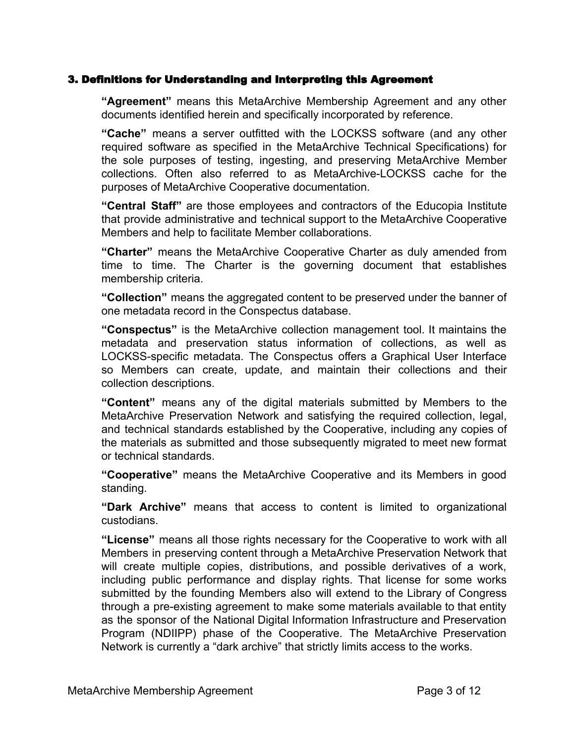# 3. Definitions for Understanding and Interpreting this Agreement

**"Agreement"** means this MetaArchive Membership Agreement and any other documents identified herein and specifically incorporated by reference.

**"Cache"** means a server outfitted with the LOCKSS software (and any other required software as specified in the MetaArchive Technical Specifications) for the sole purposes of testing, ingesting, and preserving MetaArchive Member collections. Often also referred to as MetaArchive-LOCKSS cache for the purposes of MetaArchive Cooperative documentation.

**"Central Staff"** are those employees and contractors of the Educopia Institute that provide administrative and technical support to the MetaArchive Cooperative Members and help to facilitate Member collaborations.

**"Charter"** means the MetaArchive Cooperative Charter as duly amended from time to time. The Charter is the governing document that establishes membership criteria.

**"Collection"** means the aggregated content to be preserved under the banner of one metadata record in the Conspectus database.

**"Conspectus"** is the MetaArchive collection management tool. It maintains the metadata and preservation status information of collections, as well as LOCKSS-specific metadata. The Conspectus offers a Graphical User Interface so Members can create, update, and maintain their collections and their collection descriptions.

**"Content"** means any of the digital materials submitted by Members to the MetaArchive Preservation Network and satisfying the required collection, legal, and technical standards established by the Cooperative, including any copies of the materials as submitted and those subsequently migrated to meet new format or technical standards.

**"Cooperative"** means the MetaArchive Cooperative and its Members in good standing.

**"Dark Archive"** means that access to content is limited to organizational custodians.

**"License"** means all those rights necessary for the Cooperative to work with all Members in preserving content through a MetaArchive Preservation Network that will create multiple copies, distributions, and possible derivatives of a work, including public performance and display rights. That license for some works submitted by the founding Members also will extend to the Library of Congress through a pre-existing agreement to make some materials available to that entity as the sponsor of the National Digital Information Infrastructure and Preservation Program (NDIIPP) phase of the Cooperative. The MetaArchive Preservation Network is currently a "dark archive" that strictly limits access to the works.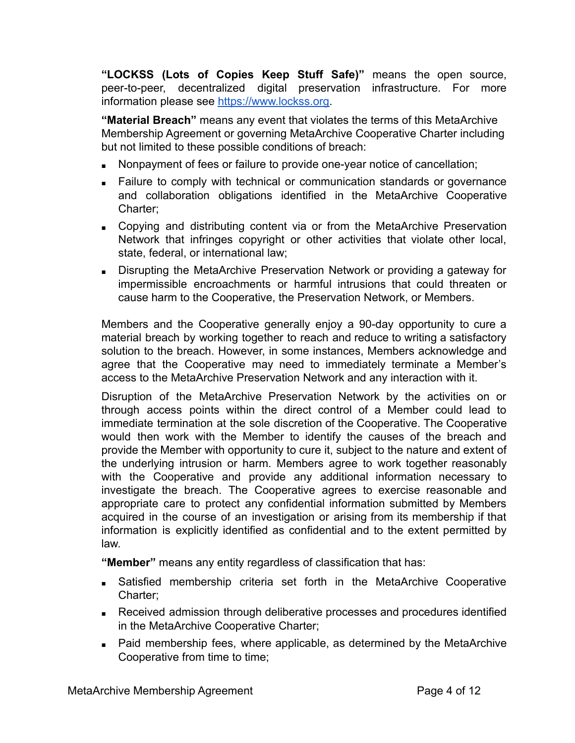**"LOCKSS (Lots of Copies Keep Stuff Safe)"** means the open source, peer-to-peer, decentralized digital preservation infrastructure. For more information please see [https://www.lockss.org.](https://www.lockss.org)

**"Material Breach"** means any event that violates the terms of this MetaArchive Membership Agreement or governing MetaArchive Cooperative Charter including but not limited to these possible conditions of breach:

- Nonpayment of fees or failure to provide one-year notice of cancellation;
- Failure to comply with technical or communication standards or governance and collaboration obligations identified in the MetaArchive Cooperative Charter;
- Copying and distributing content via or from the MetaArchive Preservation Network that infringes copyright or other activities that violate other local, state, federal, or international law;
- Disrupting the MetaArchive Preservation Network or providing a gateway for impermissible encroachments or harmful intrusions that could threaten or cause harm to the Cooperative, the Preservation Network, or Members.

Members and the Cooperative generally enjoy a 90-day opportunity to cure a material breach by working together to reach and reduce to writing a satisfactory solution to the breach. However, in some instances, Members acknowledge and agree that the Cooperative may need to immediately terminate a Member's access to the MetaArchive Preservation Network and any interaction with it.

Disruption of the MetaArchive Preservation Network by the activities on or through access points within the direct control of a Member could lead to immediate termination at the sole discretion of the Cooperative. The Cooperative would then work with the Member to identify the causes of the breach and provide the Member with opportunity to cure it, subject to the nature and extent of the underlying intrusion or harm. Members agree to work together reasonably with the Cooperative and provide any additional information necessary to investigate the breach. The Cooperative agrees to exercise reasonable and appropriate care to protect any confidential information submitted by Members acquired in the course of an investigation or arising from its membership if that information is explicitly identified as confidential and to the extent permitted by law.

**"Member"** means any entity regardless of classification that has:

- Satisfied membership criteria set forth in the MetaArchive Cooperative Charter;
- Received admission through deliberative processes and procedures identified in the MetaArchive Cooperative Charter;
- Paid membership fees, where applicable, as determined by the MetaArchive Cooperative from time to time;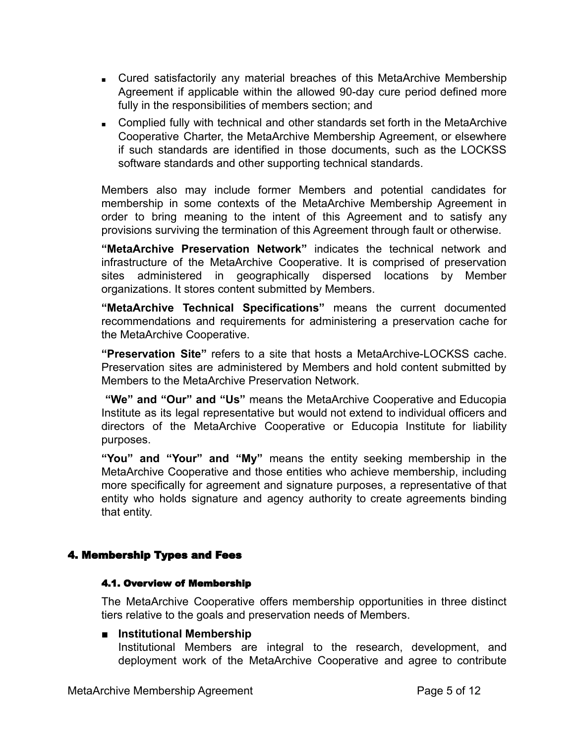- Cured satisfactorily any material breaches of this MetaArchive Membership Agreement if applicable within the allowed 90-day cure period defined more fully in the responsibilities of members section; and
- Complied fully with technical and other standards set forth in the MetaArchive Cooperative Charter, the MetaArchive Membership Agreement, or elsewhere if such standards are identified in those documents, such as the LOCKSS software standards and other supporting technical standards.

Members also may include former Members and potential candidates for membership in some contexts of the MetaArchive Membership Agreement in order to bring meaning to the intent of this Agreement and to satisfy any provisions surviving the termination of this Agreement through fault or otherwise.

**"MetaArchive Preservation Network"** indicates the technical network and infrastructure of the MetaArchive Cooperative. It is comprised of preservation sites administered in geographically dispersed locations by Member organizations. It stores content submitted by Members.

**"MetaArchive Technical Specifications"** means the current documented recommendations and requirements for administering a preservation cache for the MetaArchive Cooperative.

**"Preservation Site"** refers to a site that hosts a MetaArchive-LOCKSS cache. Preservation sites are administered by Members and hold content submitted by Members to the MetaArchive Preservation Network.

**"We" and "Our" and "Us"** means the MetaArchive Cooperative and Educopia Institute as its legal representative but would not extend to individual officers and directors of the MetaArchive Cooperative or Educopia Institute for liability purposes.

**"You" and "Your" and "My"** means the entity seeking membership in the MetaArchive Cooperative and those entities who achieve membership, including more specifically for agreement and signature purposes, a representative of that entity who holds signature and agency authority to create agreements binding that entity.

# 4. Membership Types and Fees

#### 4.1. Overview of Membership

The MetaArchive Cooperative offers membership opportunities in three distinct tiers relative to the goals and preservation needs of Members.

# ■ **Institutional Membership**

Institutional Members are integral to the research, development, and deployment work of the MetaArchive Cooperative and agree to contribute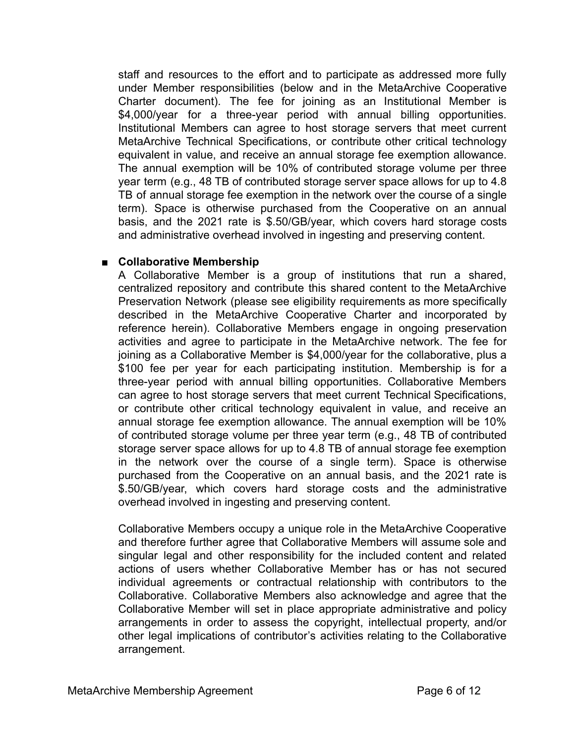staff and resources to the effort and to participate as addressed more fully under Member responsibilities (below and in the MetaArchive Cooperative Charter document). The fee for joining as an Institutional Member is \$4,000/year for a three-year period with annual billing opportunities. Institutional Members can agree to host storage servers that meet current MetaArchive Technical Specifications, or contribute other critical technology equivalent in value, and receive an annual storage fee exemption allowance. The annual exemption will be 10% of contributed storage volume per three year term (e.g., 48 TB of contributed storage server space allows for up to 4.8 TB of annual storage fee exemption in the network over the course of a single term). Space is otherwise purchased from the Cooperative on an annual basis, and the 2021 rate is \$.50/GB/year, which covers hard storage costs and administrative overhead involved in ingesting and preserving content.

# ■ **Collaborative Membership**

A Collaborative Member is a group of institutions that run a shared, centralized repository and contribute this shared content to the MetaArchive Preservation Network (please see eligibility requirements as more specifically described in the MetaArchive Cooperative Charter and incorporated by reference herein). Collaborative Members engage in ongoing preservation activities and agree to participate in the MetaArchive network. The fee for joining as a Collaborative Member is \$4,000/year for the collaborative, plus a \$100 fee per year for each participating institution. Membership is for a three-year period with annual billing opportunities. Collaborative Members can agree to host storage servers that meet current Technical Specifications, or contribute other critical technology equivalent in value, and receive an annual storage fee exemption allowance. The annual exemption will be 10% of contributed storage volume per three year term (e.g., 48 TB of contributed storage server space allows for up to 4.8 TB of annual storage fee exemption in the network over the course of a single term). Space is otherwise purchased from the Cooperative on an annual basis, and the 2021 rate is \$.50/GB/year, which covers hard storage costs and the administrative overhead involved in ingesting and preserving content.

Collaborative Members occupy a unique role in the MetaArchive Cooperative and therefore further agree that Collaborative Members will assume sole and singular legal and other responsibility for the included content and related actions of users whether Collaborative Member has or has not secured individual agreements or contractual relationship with contributors to the Collaborative. Collaborative Members also acknowledge and agree that the Collaborative Member will set in place appropriate administrative and policy arrangements in order to assess the copyright, intellectual property, and/or other legal implications of contributor's activities relating to the Collaborative arrangement.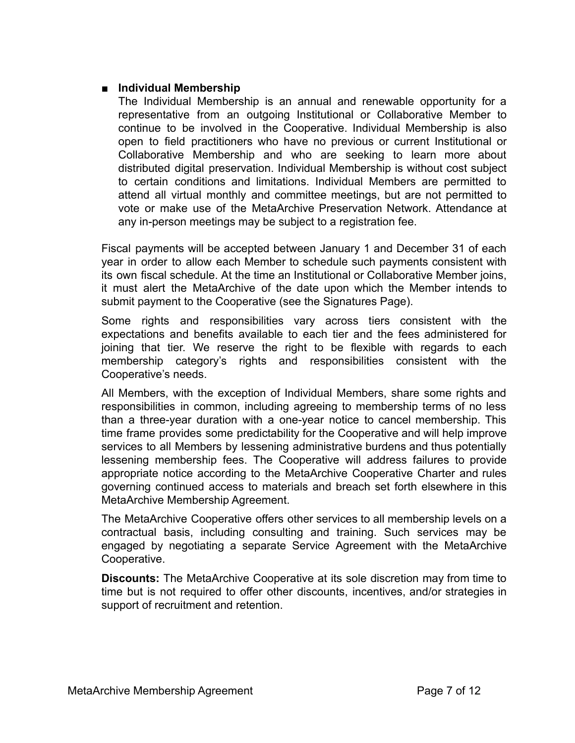# ■ **Individual Membership**

The Individual Membership is an annual and renewable opportunity for a representative from an outgoing Institutional or Collaborative Member to continue to be involved in the Cooperative. Individual Membership is also open to field practitioners who have no previous or current Institutional or Collaborative Membership and who are seeking to learn more about distributed digital preservation. Individual Membership is without cost subject to certain conditions and limitations. Individual Members are permitted to attend all virtual monthly and committee meetings, but are not permitted to vote or make use of the MetaArchive Preservation Network. Attendance at any in-person meetings may be subject to a registration fee.

Fiscal payments will be accepted between January 1 and December 31 of each year in order to allow each Member to schedule such payments consistent with its own fiscal schedule. At the time an Institutional or Collaborative Member joins, it must alert the MetaArchive of the date upon which the Member intends to submit payment to the Cooperative (see the Signatures Page).

Some rights and responsibilities vary across tiers consistent with the expectations and benefits available to each tier and the fees administered for joining that tier. We reserve the right to be flexible with regards to each membership category's rights and responsibilities consistent with the Cooperative's needs.

All Members, with the exception of Individual Members, share some rights and responsibilities in common, including agreeing to membership terms of no less than a three-year duration with a one-year notice to cancel membership. This time frame provides some predictability for the Cooperative and will help improve services to all Members by lessening administrative burdens and thus potentially lessening membership fees. The Cooperative will address failures to provide appropriate notice according to the MetaArchive Cooperative Charter and rules governing continued access to materials and breach set forth elsewhere in this MetaArchive Membership Agreement.

The MetaArchive Cooperative offers other services to all membership levels on a contractual basis, including consulting and training. Such services may be engaged by negotiating a separate Service Agreement with the MetaArchive Cooperative.

**Discounts:** The MetaArchive Cooperative at its sole discretion may from time to time but is not required to offer other discounts, incentives, and/or strategies in support of recruitment and retention.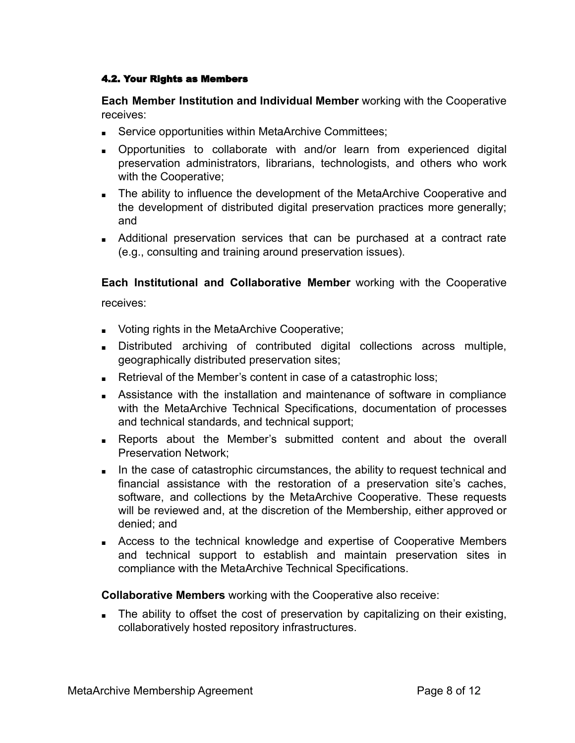## 4.2. Your Rights as Members

**Each Member Institution and Individual Member** working with the Cooperative receives:

- Service opportunities within MetaArchive Committees;
- Opportunities to collaborate with and/or learn from experienced digital preservation administrators, librarians, technologists, and others who work with the Cooperative;
- The ability to influence the development of the MetaArchive Cooperative and the development of distributed digital preservation practices more generally; and
- Additional preservation services that can be purchased at a contract rate (e.g., consulting and training around preservation issues).

**Each Institutional and Collaborative Member** working with the Cooperative

receives:

- Voting rights in the MetaArchive Cooperative;
- Distributed archiving of contributed digital collections across multiple, geographically distributed preservation sites;
- Retrieval of the Member's content in case of a catastrophic loss;
- Assistance with the installation and maintenance of software in compliance with the MetaArchive Technical Specifications, documentation of processes and technical standards, and technical support;
- Reports about the Member's submitted content and about the overall Preservation Network;
- In the case of catastrophic circumstances, the ability to request technical and financial assistance with the restoration of a preservation site's caches, software, and collections by the MetaArchive Cooperative. These requests will be reviewed and, at the discretion of the Membership, either approved or denied; and
- Access to the technical knowledge and expertise of Cooperative Members and technical support to establish and maintain preservation sites in compliance with the MetaArchive Technical Specifications.

**Collaborative Members** working with the Cooperative also receive:

■ The ability to offset the cost of preservation by capitalizing on their existing, collaboratively hosted repository infrastructures.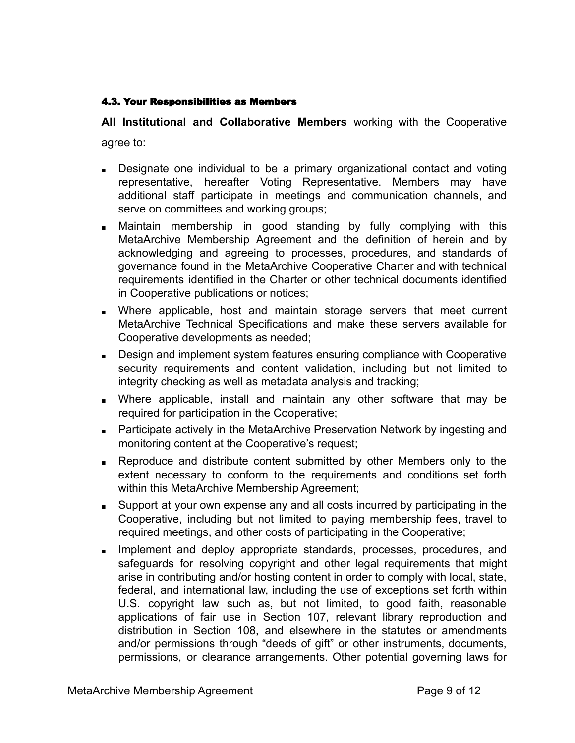## 4.3. Your Responsibilities as Members

**All Institutional and Collaborative Members** working with the Cooperative

agree to:

- Designate one individual to be a primary organizational contact and voting representative, hereafter Voting Representative. Members may have additional staff participate in meetings and communication channels, and serve on committees and working groups;
- Maintain membership in good standing by fully complying with this MetaArchive Membership Agreement and the definition of herein and by acknowledging and agreeing to processes, procedures, and standards of governance found in the MetaArchive Cooperative Charter and with technical requirements identified in the Charter or other technical documents identified in Cooperative publications or notices;
- Where applicable, host and maintain storage servers that meet current MetaArchive Technical Specifications and make these servers available for Cooperative developments as needed;
- Design and implement system features ensuring compliance with Cooperative security requirements and content validation, including but not limited to integrity checking as well as metadata analysis and tracking;
- Where applicable, install and maintain any other software that may be required for participation in the Cooperative;
- Participate actively in the MetaArchive Preservation Network by ingesting and monitoring content at the Cooperative's request;
- Reproduce and distribute content submitted by other Members only to the extent necessary to conform to the requirements and conditions set forth within this MetaArchive Membership Agreement;
- Support at your own expense any and all costs incurred by participating in the Cooperative, including but not limited to paying membership fees, travel to required meetings, and other costs of participating in the Cooperative;
- Implement and deploy appropriate standards, processes, procedures, and safeguards for resolving copyright and other legal requirements that might arise in contributing and/or hosting content in order to comply with local, state, federal, and international law, including the use of exceptions set forth within U.S. copyright law such as, but not limited, to good faith, reasonable applications of fair use in Section 107, relevant library reproduction and distribution in Section 108, and elsewhere in the statutes or amendments and/or permissions through "deeds of gift" or other instruments, documents, permissions, or clearance arrangements. Other potential governing laws for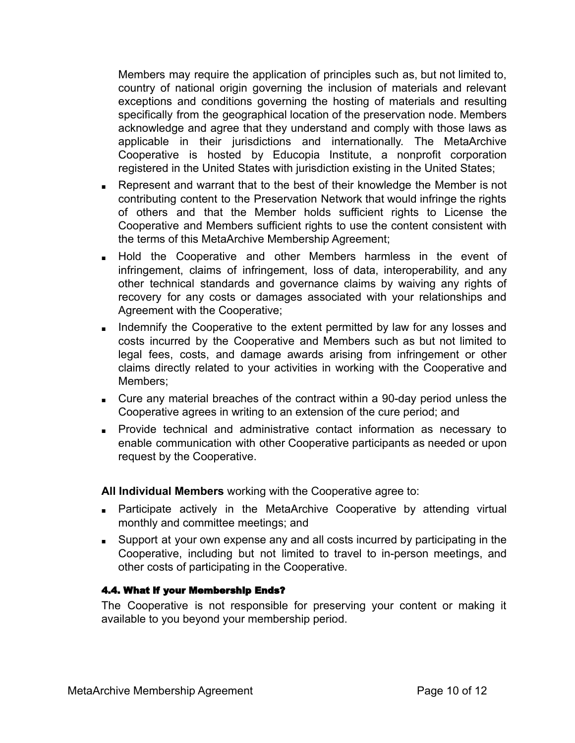Members may require the application of principles such as, but not limited to, country of national origin governing the inclusion of materials and relevant exceptions and conditions governing the hosting of materials and resulting specifically from the geographical location of the preservation node. Members acknowledge and agree that they understand and comply with those laws as applicable in their jurisdictions and internationally. The MetaArchive Cooperative is hosted by Educopia Institute, a nonprofit corporation registered in the United States with jurisdiction existing in the United States;

- Represent and warrant that to the best of their knowledge the Member is not contributing content to the Preservation Network that would infringe the rights of others and that the Member holds sufficient rights to License the Cooperative and Members sufficient rights to use the content consistent with the terms of this MetaArchive Membership Agreement;
- Hold the Cooperative and other Members harmless in the event of infringement, claims of infringement, loss of data, interoperability, and any other technical standards and governance claims by waiving any rights of recovery for any costs or damages associated with your relationships and Agreement with the Cooperative;
- Indemnify the Cooperative to the extent permitted by law for any losses and costs incurred by the Cooperative and Members such as but not limited to legal fees, costs, and damage awards arising from infringement or other claims directly related to your activities in working with the Cooperative and Members;
- Cure any material breaches of the contract within a 90-day period unless the Cooperative agrees in writing to an extension of the cure period; and
- Provide technical and administrative contact information as necessary to enable communication with other Cooperative participants as needed or upon request by the Cooperative.

**All Individual Members** working with the Cooperative agree to:

- Participate actively in the MetaArchive Cooperative by attending virtual monthly and committee meetings; and
- Support at your own expense any and all costs incurred by participating in the Cooperative, including but not limited to travel to in-person meetings, and other costs of participating in the Cooperative.

# 4.4. What if your Membership Ends?

The Cooperative is not responsible for preserving your content or making it available to you beyond your membership period.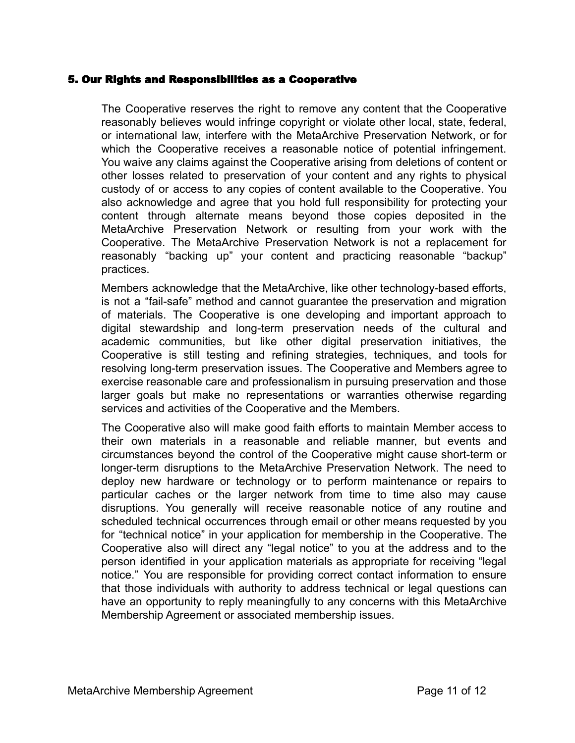## 5. Our Rights and Responsibilities as a Cooperative

The Cooperative reserves the right to remove any content that the Cooperative reasonably believes would infringe copyright or violate other local, state, federal, or international law, interfere with the MetaArchive Preservation Network, or for which the Cooperative receives a reasonable notice of potential infringement. You waive any claims against the Cooperative arising from deletions of content or other losses related to preservation of your content and any rights to physical custody of or access to any copies of content available to the Cooperative. You also acknowledge and agree that you hold full responsibility for protecting your content through alternate means beyond those copies deposited in the MetaArchive Preservation Network or resulting from your work with the Cooperative. The MetaArchive Preservation Network is not a replacement for reasonably "backing up" your content and practicing reasonable "backup" practices.

Members acknowledge that the MetaArchive, like other technology-based efforts, is not a "fail-safe" method and cannot guarantee the preservation and migration of materials. The Cooperative is one developing and important approach to digital stewardship and long-term preservation needs of the cultural and academic communities, but like other digital preservation initiatives, the Cooperative is still testing and refining strategies, techniques, and tools for resolving long-term preservation issues. The Cooperative and Members agree to exercise reasonable care and professionalism in pursuing preservation and those larger goals but make no representations or warranties otherwise regarding services and activities of the Cooperative and the Members.

The Cooperative also will make good faith efforts to maintain Member access to their own materials in a reasonable and reliable manner, but events and circumstances beyond the control of the Cooperative might cause short-term or longer-term disruptions to the MetaArchive Preservation Network. The need to deploy new hardware or technology or to perform maintenance or repairs to particular caches or the larger network from time to time also may cause disruptions. You generally will receive reasonable notice of any routine and scheduled technical occurrences through email or other means requested by you for "technical notice" in your application for membership in the Cooperative. The Cooperative also will direct any "legal notice" to you at the address and to the person identified in your application materials as appropriate for receiving "legal notice." You are responsible for providing correct contact information to ensure that those individuals with authority to address technical or legal questions can have an opportunity to reply meaningfully to any concerns with this MetaArchive Membership Agreement or associated membership issues.